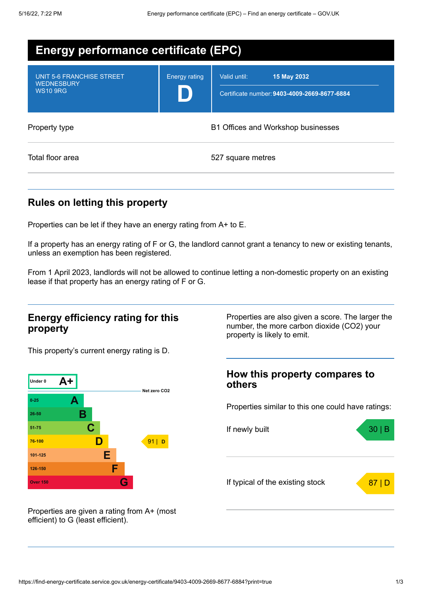| <b>Energy performance certificate (EPC)</b>                       |                      |                                                                             |
|-------------------------------------------------------------------|----------------------|-----------------------------------------------------------------------------|
| UNIT 5-6 FRANCHISE STREET<br><b>WEDNESBURY</b><br><b>WS10 9RG</b> | <b>Energy rating</b> | Valid until:<br>15 May 2032<br>Certificate number: 9403-4009-2669-8677-6884 |
| Property type                                                     |                      | B1 Offices and Workshop businesses                                          |
| Total floor area                                                  |                      | 527 square metres                                                           |

## **Rules on letting this property**

Properties can be let if they have an energy rating from A+ to E.

If a property has an energy rating of F or G, the landlord cannot grant a tenancy to new or existing tenants, unless an exemption has been registered.

From 1 April 2023, landlords will not be allowed to continue letting a non-domestic property on an existing lease if that property has an energy rating of F or G.

### **Energy efficiency rating for this property**

This property's current energy rating is D.



Properties are given a rating from A+ (most efficient) to G (least efficient).

Properties are also given a score. The larger the number, the more carbon dioxide (CO2) your property is likely to emit.

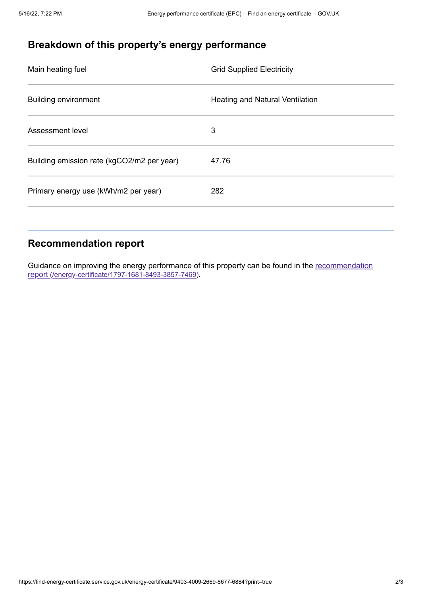# **Breakdown of this property's energy performance**

| <b>Grid Supplied Electricity</b>       |
|----------------------------------------|
| <b>Heating and Natural Ventilation</b> |
| 3                                      |
| 47.76                                  |
| 282                                    |
|                                        |

## **Recommendation report**

Guidance on improving the energy performance of this property can be found in the recommendation report [\(/energy-certificate/1797-1681-8493-3857-7469\)](https://find-energy-certificate.service.gov.uk/energy-certificate/1797-1681-8493-3857-7469).